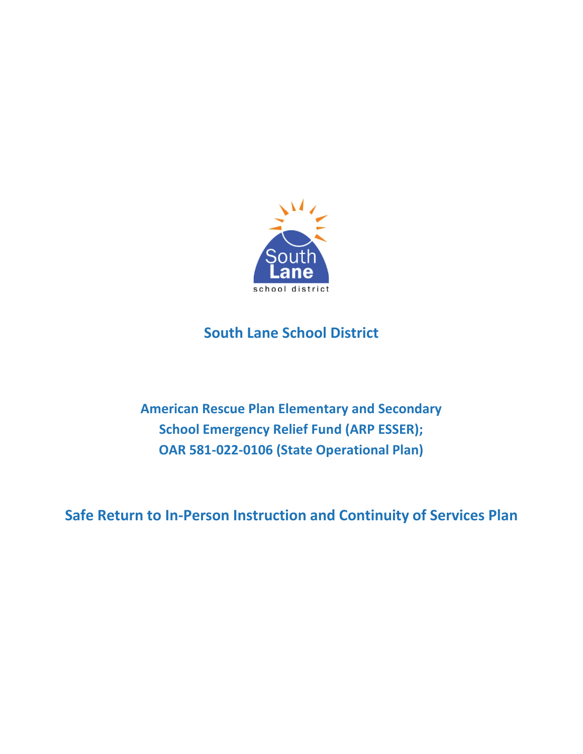

# **South Lane School District**

**American Rescue Plan Elementary and Secondary School Emergency Relief Fund (ARP ESSER); OAR 581-022-0106 (State Operational Plan)** 

**Safe Return to In-Person Instruction and Continuity of Services Plan**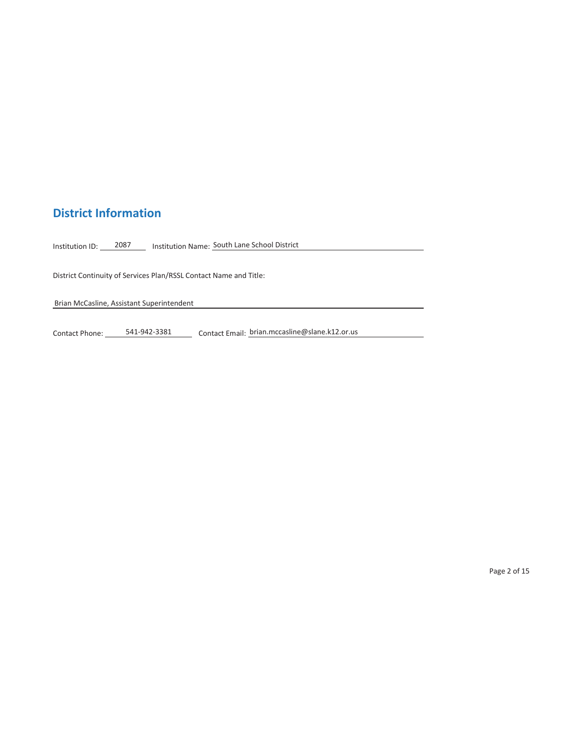## **District Information**

Institution ID: 2087 Minstitution Name: South Lane School District

District Continuity of Services Plan/RSSL Contact Name and Title:

Brian McCasline, Assistant Superintendent

Contact Phone: \_\_\_\_\_\_541-942-3381 \_\_\_\_\_\_\_ Contact Email: horian.mccasline@slane.k12.or.us

Page 2 of 15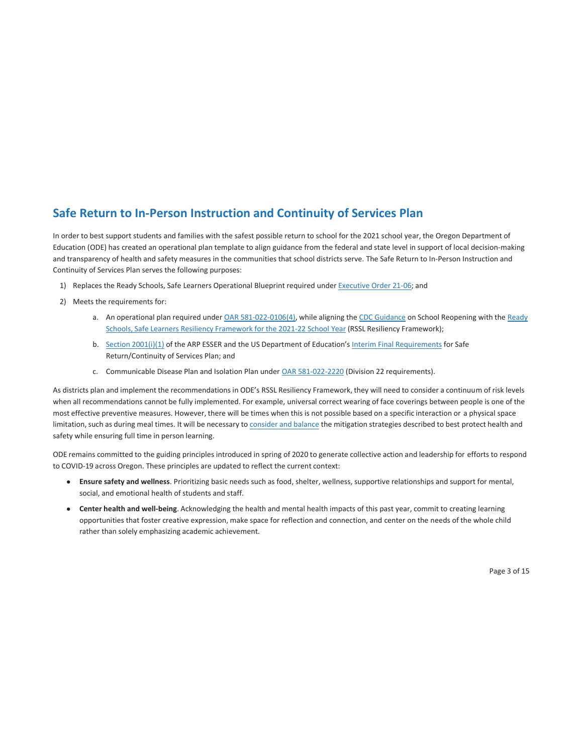### **Safe Return to In-Person Instruction and Continuity of Services Plan**

In order to best support students and families with the safest possible return to school for the 2021 school year, the Oregon Department of Education (ODE) has created an operational plan template to align guidance from the federal and state level in support of local decision-making and transparency of health and safety measures in the communities that school districts serve. The Safe Return to In-Person Instruction and Continuity of Services Plan serves the following purposes:

- 1) Replaces the Ready Schools, Safe Learners Operational Blueprint required under Executive Order 21-06; and
- 2) Meets the requirements for:
	- a. An operational plan required under OAR 581-022-0106(4), while aligning the CDC Guidance on School Reopening with the Ready Schools, Safe Learners Resiliency Framework for the 2021-22 School Year (RSSL Resiliency Framework);
	- b. Section 2001(i)(1) of the ARP ESSER and the US Department of Education's Interim Final Requirements for Safe Return/Continuity of Services Plan; and
	- c. Communicable Disease Plan and Isolation Plan under OAR 581-022-2220 (Division 22 requirements).

As districts plan and implement the recommendations in ODE's RSSL Resiliency Framework, they will need to consider a continuum of risk levels when all recommendations cannot be fully implemented. For example, universal correct wearing of face coverings between people is one of the most effective preventive measures. However, there will be times when this is not possible based on a specific interaction or a physical space limitation, such as during meal times. It will be necessary to consider and balance the mitigation strategies described to best protect health and safety while ensuring full time in person learning.

ODE remains committed to the guiding principles introduced in spring of 2020 to generate collective action and leadership for efforts to respond to COVID-19 across Oregon. These principles are updated to reflect the current context:

- **Ensure safety and wellness**. Prioritizing basic needs such as food, shelter, wellness, supportive relationships and support for mental, social, and emotional health of students and staff.
- **Center health and well-being**. Acknowledging the health and mental health impacts of this past year, commit to creating learning opportunities that foster creative expression, make space for reflection and connection, and center on the needs of the whole child rather than solely emphasizing academic achievement.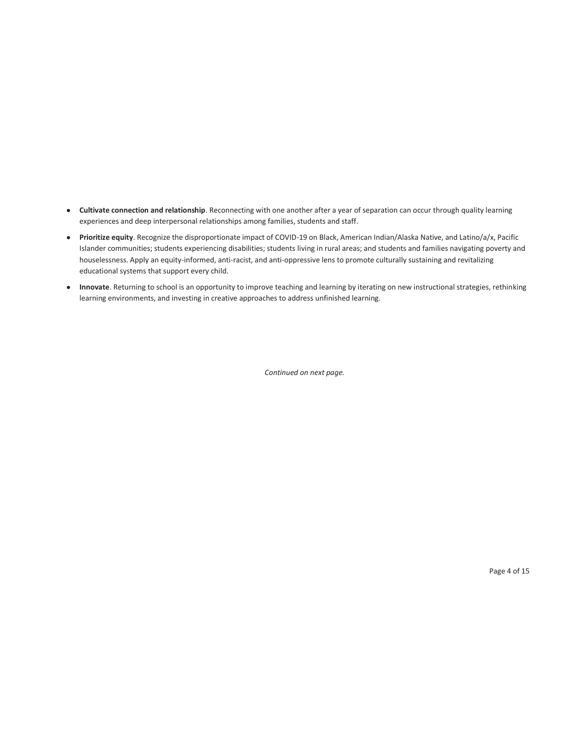- **Cultivate connection and relationship**. Reconnecting with one another after a year of separation can occur through quality learning experiences and deep interpersonal relationships among families, students and staff.
- **Prioritize equity**. Recognize the disproportionate impact of COVID-19 on Black, American Indian/Alaska Native, and Latino/a/x, Pacific Islander communities; students experiencing disabilities; students living in rural areas; and students and families navigating poverty and houselessness. Apply an equity-informed, anti-racist, and anti-oppressive lens to promote culturally sustaining and revitalizing educational systems that support every child.
- **Innovate**. Returning to school is an opportunity to improve teaching and learning by iterating on new instructional strategies, rethinking learning environments, and investing in creative approaches to address unfinished learning.

*Continued on next page.*

Page 4 of 15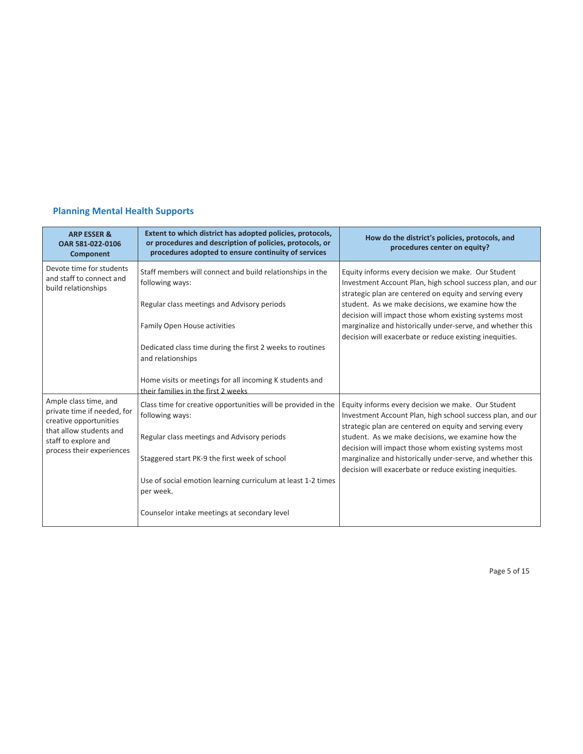### **Planning Mental Health Supports**

| <b>ARP ESSER &amp;</b><br>OAR 581-022-0106<br><b>Component</b>                                                                                                 | Extent to which district has adopted policies, protocols,<br>or procedures and description of policies, protocols, or<br>procedures adopted to ensure continuity of services                                                                                                                                                                                                                                                                                                                                                                                                                                                                                                                                                   | How do the district's policies, protocols, and<br>procedures center on equity?                                                                                                                                                                                                                                                                                                                                     |
|----------------------------------------------------------------------------------------------------------------------------------------------------------------|--------------------------------------------------------------------------------------------------------------------------------------------------------------------------------------------------------------------------------------------------------------------------------------------------------------------------------------------------------------------------------------------------------------------------------------------------------------------------------------------------------------------------------------------------------------------------------------------------------------------------------------------------------------------------------------------------------------------------------|--------------------------------------------------------------------------------------------------------------------------------------------------------------------------------------------------------------------------------------------------------------------------------------------------------------------------------------------------------------------------------------------------------------------|
| Devote time for students<br>and staff to connect and<br>build relationships                                                                                    | Staff members will connect and build relationships in the<br>Equity informs every decision we make. Our Student<br>following ways:<br>Investment Account Plan, high school success plan, and our<br>strategic plan are centered on equity and serving every<br>student. As we make decisions, we examine how the<br>Regular class meetings and Advisory periods<br>decision will impact those whom existing systems most<br>marginalize and historically under-serve, and whether this<br>Family Open House activities<br>decision will exacerbate or reduce existing inequities.<br>Dedicated class time during the first 2 weeks to routines<br>and relationships<br>Home visits or meetings for all incoming K students and |                                                                                                                                                                                                                                                                                                                                                                                                                    |
| Ample class time, and<br>private time if needed, for<br>creative opportunities<br>that allow students and<br>staff to explore and<br>process their experiences | their families in the first 2 weeks<br>Class time for creative opportunities will be provided in the<br>following ways:<br>Regular class meetings and Advisory periods<br>Staggered start PK-9 the first week of school<br>Use of social emotion learning curriculum at least 1-2 times<br>per week.<br>Counselor intake meetings at secondary level                                                                                                                                                                                                                                                                                                                                                                           | Equity informs every decision we make. Our Student<br>Investment Account Plan, high school success plan, and our<br>strategic plan are centered on equity and serving every<br>student. As we make decisions, we examine how the<br>decision will impact those whom existing systems most<br>marginalize and historically under-serve, and whether this<br>decision will exacerbate or reduce existing inequities. |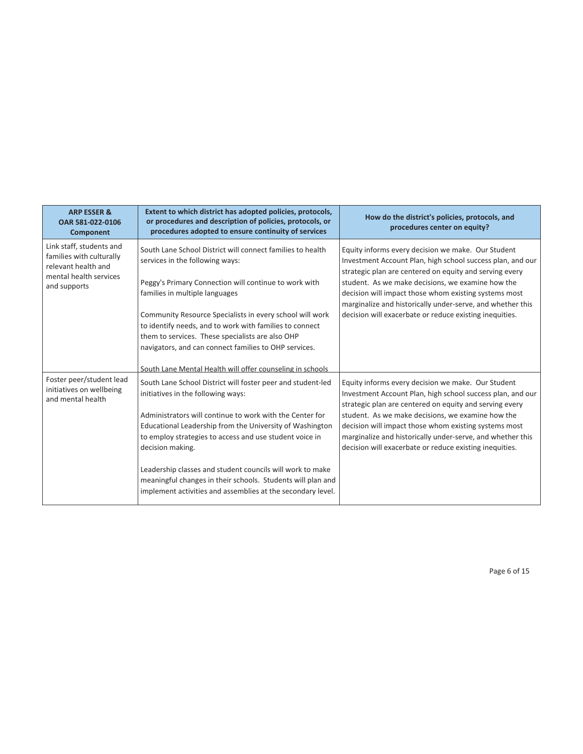| <b>ARP ESSER &amp;</b><br>OAR 581-022-0106<br><b>Component</b>                                                        | Extent to which district has adopted policies, protocols,<br>or procedures and description of policies, protocols, or<br>procedures adopted to ensure continuity of services                                                                                                                                                                                                                                                                                                                                                                                     | How do the district's policies, protocols, and<br>procedures center on equity?                                                                                                                                                                                                                                                                                                                                     |
|-----------------------------------------------------------------------------------------------------------------------|------------------------------------------------------------------------------------------------------------------------------------------------------------------------------------------------------------------------------------------------------------------------------------------------------------------------------------------------------------------------------------------------------------------------------------------------------------------------------------------------------------------------------------------------------------------|--------------------------------------------------------------------------------------------------------------------------------------------------------------------------------------------------------------------------------------------------------------------------------------------------------------------------------------------------------------------------------------------------------------------|
| Link staff, students and<br>families with culturally<br>relevant health and<br>mental health services<br>and supports | South Lane School District will connect families to health<br>services in the following ways:<br>Peggy's Primary Connection will continue to work with<br>families in multiple languages<br>Community Resource Specialists in every school will work<br>to identify needs, and to work with families to connect<br>them to services. These specialists are also OHP<br>navigators, and can connect families to OHP services.                                                                                                                                     | Equity informs every decision we make. Our Student<br>Investment Account Plan, high school success plan, and our<br>strategic plan are centered on equity and serving every<br>student. As we make decisions, we examine how the<br>decision will impact those whom existing systems most<br>marginalize and historically under-serve, and whether this<br>decision will exacerbate or reduce existing inequities. |
| Foster peer/student lead<br>initiatives on wellbeing<br>and mental health                                             | South Lane Mental Health will offer counseling in schools<br>South Lane School District will foster peer and student-led<br>initiatives in the following ways:<br>Administrators will continue to work with the Center for<br>Educational Leadership from the University of Washington<br>to employ strategies to access and use student voice in<br>decision making.<br>Leadership classes and student councils will work to make<br>meaningful changes in their schools. Students will plan and<br>implement activities and assemblies at the secondary level. | Equity informs every decision we make. Our Student<br>Investment Account Plan, high school success plan, and our<br>strategic plan are centered on equity and serving every<br>student. As we make decisions, we examine how the<br>decision will impact those whom existing systems most<br>marginalize and historically under-serve, and whether this<br>decision will exacerbate or reduce existing inequities. |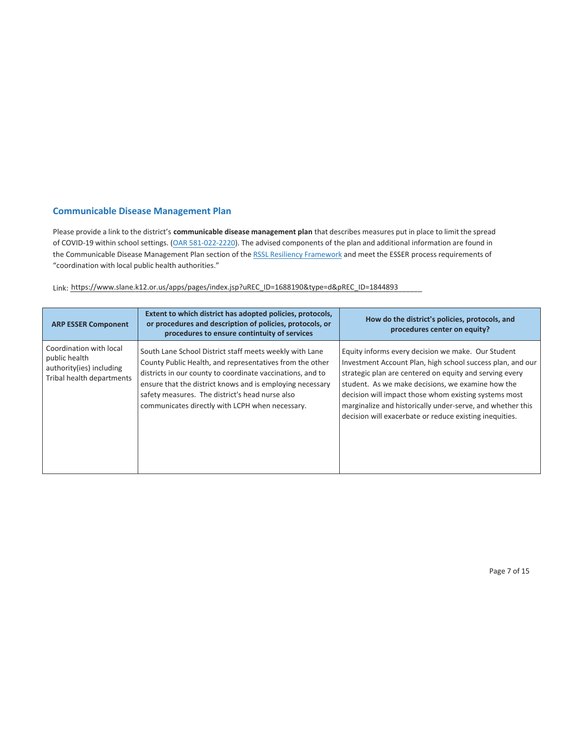#### **Communicable Disease Management Plan**

Please provide a link to the district's **communicable disease management plan** that describes measures put in place to limit the spread of COVID-19 within school settings. (OAR 581-022-2220). The advised components of the plan and additional information are found in the Communicable Disease Management Plan section of the RSSL Resiliency Framework and meet the ESSER process requirements of "coordination with local public health authorities."

Link: https://www.slane.k12.or.us/apps/pages/index.jsp?uREC\_ID=1688190&type=d&pREC\_ID=1844893

| <b>ARP ESSER Component</b>                                                                        | Extent to which district has adopted policies, protocols,<br>or procedures and description of policies, protocols, or<br>procedures to ensure contintuity of services                                                                                                                                                                                | How do the district's policies, protocols, and<br>procedures center on equity?                                                                                                                                                                                                                                                                                                                                     |
|---------------------------------------------------------------------------------------------------|------------------------------------------------------------------------------------------------------------------------------------------------------------------------------------------------------------------------------------------------------------------------------------------------------------------------------------------------------|--------------------------------------------------------------------------------------------------------------------------------------------------------------------------------------------------------------------------------------------------------------------------------------------------------------------------------------------------------------------------------------------------------------------|
| Coordination with local<br>public health<br>authority(ies) including<br>Tribal health departments | South Lane School District staff meets weekly with Lane<br>County Public Health, and representatives from the other<br>districts in our county to coordinate vaccinations, and to<br>ensure that the district knows and is employing necessary<br>safety measures. The district's head nurse also<br>communicates directly with LCPH when necessary. | Equity informs every decision we make. Our Student<br>Investment Account Plan, high school success plan, and our<br>strategic plan are centered on equity and serving every<br>student. As we make decisions, we examine how the<br>decision will impact those whom existing systems most<br>marginalize and historically under-serve, and whether this<br>decision will exacerbate or reduce existing inequities. |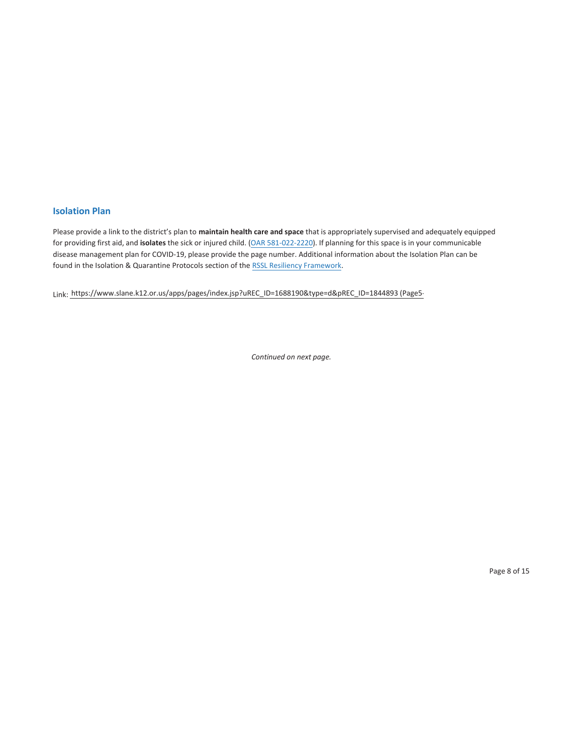#### **Isolation Plan**

Please provide a link to the district's plan to **maintain health care and space** that is appropriately supervised and adequately equipped for providing first aid, and **isolates** the sick or injured child. (OAR 581-022-2220). If planning for this space is in your communicable disease management plan for COVID-19, please provide the page number. Additional information about the Isolation Plan can be found in the Isolation & Quarantine Protocols section of the RSSL Resiliency Framework.

Link: https://www.slane.k12.or.us/apps/pages/index.jsp?uREC\_ID=1688190&type=d&pREC\_ID=1844893 (Page5-

*Continued on next page.*

Page 8 of 15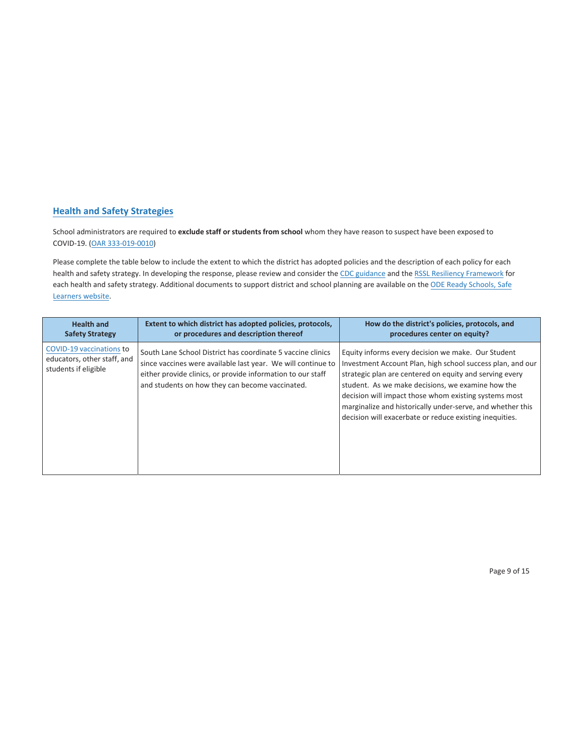#### **Health and Safety Strategies**

School administrators are required to **exclude staff or students from school** whom they have reason to suspect have been exposed to COVID-19. (OAR 333-019-0010)

Please complete the table below to include the extent to which the district has adopted policies and the description of each policy for each health and safety strategy. In developing the response, please review and consider the CDC guidance and the RSSL Resiliency Framework for each health and safety strategy. Additional documents to support district and school planning are available on the ODE Ready Schools, Safe Learners website.

| <b>Health and</b>                                                               | Extent to which district has adopted policies, protocols,                                                                                                                                                                                     | How do the district's policies, protocols, and                                                                                                                                                                                                                                                                                                                                                                     |
|---------------------------------------------------------------------------------|-----------------------------------------------------------------------------------------------------------------------------------------------------------------------------------------------------------------------------------------------|--------------------------------------------------------------------------------------------------------------------------------------------------------------------------------------------------------------------------------------------------------------------------------------------------------------------------------------------------------------------------------------------------------------------|
| <b>Safety Strategy</b>                                                          | or procedures and description thereof                                                                                                                                                                                                         | procedures center on equity?                                                                                                                                                                                                                                                                                                                                                                                       |
| COVID-19 vaccinations to<br>educators, other staff, and<br>students if eligible | South Lane School District has coordinate 5 vaccine clinics<br>since vaccines were available last year. We will continue to<br>either provide clinics, or provide information to our staff<br>and students on how they can become vaccinated. | Equity informs every decision we make. Our Student<br>Investment Account Plan, high school success plan, and our<br>strategic plan are centered on equity and serving every<br>student. As we make decisions, we examine how the<br>decision will impact those whom existing systems most<br>marginalize and historically under-serve, and whether this<br>decision will exacerbate or reduce existing inequities. |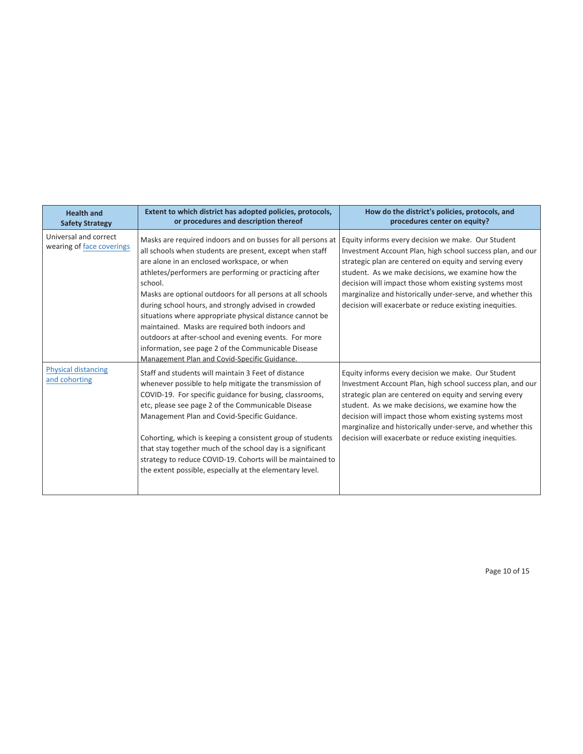| <b>Health and</b><br><b>Safety Strategy</b>        | Extent to which district has adopted policies, protocols,<br>or procedures and description thereof                                                                                                                                                                                                                                                                                                                                                                                                                                                                                                                                               | How do the district's policies, protocols, and<br>procedures center on equity?                                                                                                                                                                                                                                                                                                                                     |
|----------------------------------------------------|--------------------------------------------------------------------------------------------------------------------------------------------------------------------------------------------------------------------------------------------------------------------------------------------------------------------------------------------------------------------------------------------------------------------------------------------------------------------------------------------------------------------------------------------------------------------------------------------------------------------------------------------------|--------------------------------------------------------------------------------------------------------------------------------------------------------------------------------------------------------------------------------------------------------------------------------------------------------------------------------------------------------------------------------------------------------------------|
| Universal and correct<br>wearing of face coverings | Masks are required indoors and on busses for all persons at<br>all schools when students are present, except when staff<br>are alone in an enclosed workspace, or when<br>athletes/performers are performing or practicing after<br>school.<br>Masks are optional outdoors for all persons at all schools<br>during school hours, and strongly advised in crowded<br>situations where appropriate physical distance cannot be<br>maintained. Masks are required both indoors and<br>outdoors at after-school and evening events. For more<br>information, see page 2 of the Communicable Disease<br>Management Plan and Covid-Specific Guidance. | Equity informs every decision we make. Our Student<br>Investment Account Plan, high school success plan, and our<br>strategic plan are centered on equity and serving every<br>student. As we make decisions, we examine how the<br>decision will impact those whom existing systems most<br>marginalize and historically under-serve, and whether this<br>decision will exacerbate or reduce existing inequities. |
| <b>Physical distancing</b><br>and cohorting        | Staff and students will maintain 3 Feet of distance<br>whenever possible to help mitigate the transmission of<br>COVID-19. For specific guidance for busing, classrooms,<br>etc, please see page 2 of the Communicable Disease<br>Management Plan and Covid-Specific Guidance.<br>Cohorting, which is keeping a consistent group of students<br>that stay together much of the school day is a significant<br>strategy to reduce COVID-19. Cohorts will be maintained to<br>the extent possible, especially at the elementary level.                                                                                                             | Equity informs every decision we make. Our Student<br>Investment Account Plan, high school success plan, and our<br>strategic plan are centered on equity and serving every<br>student. As we make decisions, we examine how the<br>decision will impact those whom existing systems most<br>marginalize and historically under-serve, and whether this<br>decision will exacerbate or reduce existing inequities. |

Page 10 of 15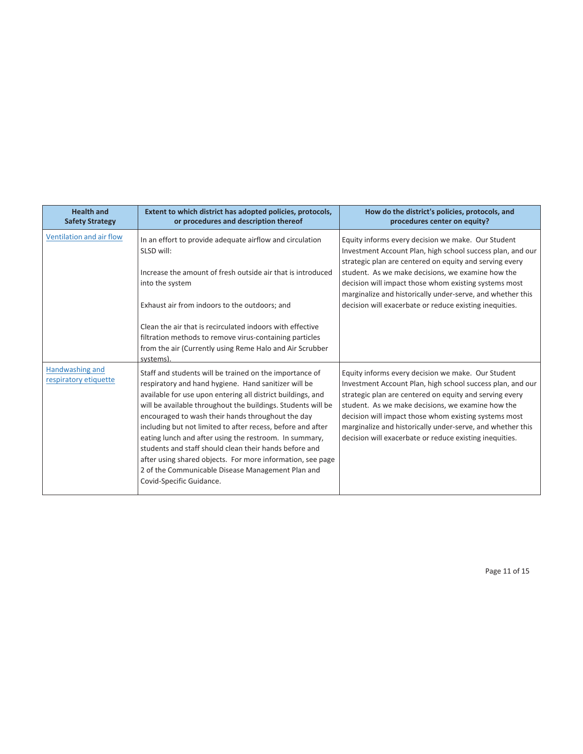| <b>Health and</b><br><b>Safety Strategy</b> | Extent to which district has adopted policies, protocols,<br>or procedures and description thereof                                                                                                                                                                                                                                                                                                                                                                                                                                                                                                                                                | How do the district's policies, protocols, and<br>procedures center on equity?                                                                                                                                                                                                                                                                                                                                     |
|---------------------------------------------|---------------------------------------------------------------------------------------------------------------------------------------------------------------------------------------------------------------------------------------------------------------------------------------------------------------------------------------------------------------------------------------------------------------------------------------------------------------------------------------------------------------------------------------------------------------------------------------------------------------------------------------------------|--------------------------------------------------------------------------------------------------------------------------------------------------------------------------------------------------------------------------------------------------------------------------------------------------------------------------------------------------------------------------------------------------------------------|
| Ventilation and air flow                    | In an effort to provide adequate airflow and circulation<br>SLSD will:                                                                                                                                                                                                                                                                                                                                                                                                                                                                                                                                                                            | Equity informs every decision we make. Our Student<br>Investment Account Plan, high school success plan, and our<br>strategic plan are centered on equity and serving every                                                                                                                                                                                                                                        |
|                                             | Increase the amount of fresh outside air that is introduced<br>into the system                                                                                                                                                                                                                                                                                                                                                                                                                                                                                                                                                                    | student. As we make decisions, we examine how the<br>decision will impact those whom existing systems most<br>marginalize and historically under-serve, and whether this                                                                                                                                                                                                                                           |
|                                             | Exhaust air from indoors to the outdoors; and<br>Clean the air that is recirculated indoors with effective<br>filtration methods to remove virus-containing particles<br>from the air (Currently using Reme Halo and Air Scrubber                                                                                                                                                                                                                                                                                                                                                                                                                 | decision will exacerbate or reduce existing inequities.                                                                                                                                                                                                                                                                                                                                                            |
| Handwashing and<br>respiratory etiquette    | systems)<br>Staff and students will be trained on the importance of<br>respiratory and hand hygiene. Hand sanitizer will be<br>available for use upon entering all district buildings, and<br>will be available throughout the buildings. Students will be<br>encouraged to wash their hands throughout the day<br>including but not limited to after recess, before and after<br>eating lunch and after using the restroom. In summary,<br>students and staff should clean their hands before and<br>after using shared objects. For more information, see page<br>2 of the Communicable Disease Management Plan and<br>Covid-Specific Guidance. | Equity informs every decision we make. Our Student<br>Investment Account Plan, high school success plan, and our<br>strategic plan are centered on equity and serving every<br>student. As we make decisions, we examine how the<br>decision will impact those whom existing systems most<br>marginalize and historically under-serve, and whether this<br>decision will exacerbate or reduce existing inequities. |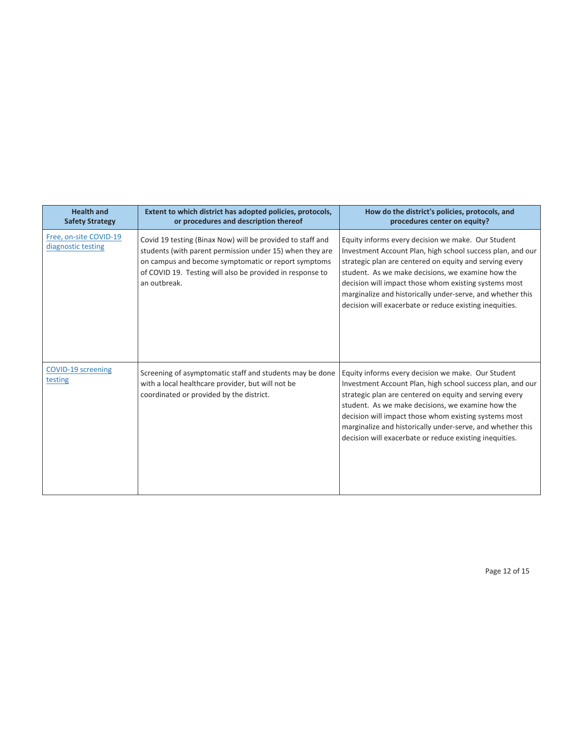| <b>Health and</b><br><b>Safety Strategy</b>  | Extent to which district has adopted policies, protocols,<br>or procedures and description thereof                                                                                                                                                         | How do the district's policies, protocols, and<br>procedures center on equity?                                                                                                                                                                                                                                                                                                                                     |
|----------------------------------------------|------------------------------------------------------------------------------------------------------------------------------------------------------------------------------------------------------------------------------------------------------------|--------------------------------------------------------------------------------------------------------------------------------------------------------------------------------------------------------------------------------------------------------------------------------------------------------------------------------------------------------------------------------------------------------------------|
| Free, on-site COVID-19<br>diagnostic testing | Covid 19 testing (Binax Now) will be provided to staff and<br>students (with parent permission under 15) when they are<br>on campus and become symptomatic or report symptoms<br>of COVID 19. Testing will also be provided in response to<br>an outbreak. | Equity informs every decision we make. Our Student<br>Investment Account Plan, high school success plan, and our<br>strategic plan are centered on equity and serving every<br>student. As we make decisions, we examine how the<br>decision will impact those whom existing systems most<br>marginalize and historically under-serve, and whether this<br>decision will exacerbate or reduce existing inequities. |
| COVID-19 screening<br>testing                | Screening of asymptomatic staff and students may be done<br>with a local healthcare provider, but will not be<br>coordinated or provided by the district.                                                                                                  | Equity informs every decision we make. Our Student<br>Investment Account Plan, high school success plan, and our<br>strategic plan are centered on equity and serving every<br>student. As we make decisions, we examine how the<br>decision will impact those whom existing systems most<br>marginalize and historically under-serve, and whether this<br>decision will exacerbate or reduce existing inequities. |

Page 12 of 15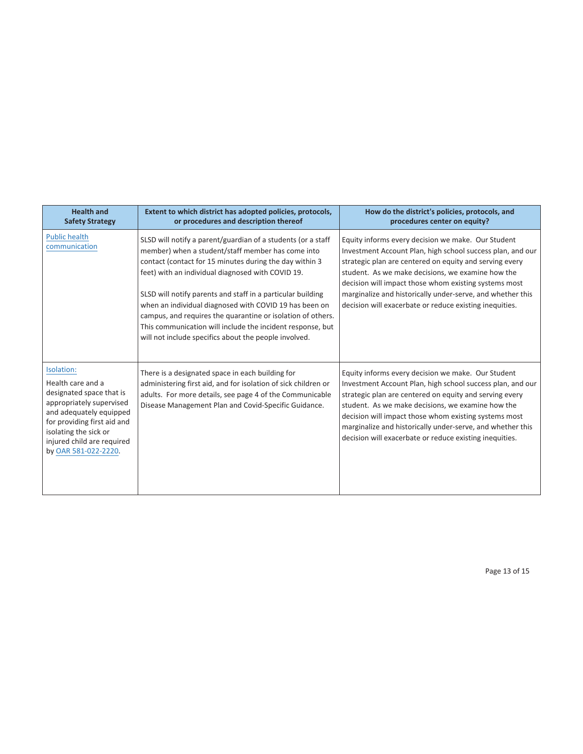| <b>Health and</b><br><b>Safety Strategy</b>                                                                                                                                                                                      | Extent to which district has adopted policies, protocols,<br>or procedures and description thereof                                                                                                                                                                                                                                                                                                                                                                                                                                               | How do the district's policies, protocols, and<br>procedures center on equity?                                                                                                                                                                                                                                                                                                                                     |
|----------------------------------------------------------------------------------------------------------------------------------------------------------------------------------------------------------------------------------|--------------------------------------------------------------------------------------------------------------------------------------------------------------------------------------------------------------------------------------------------------------------------------------------------------------------------------------------------------------------------------------------------------------------------------------------------------------------------------------------------------------------------------------------------|--------------------------------------------------------------------------------------------------------------------------------------------------------------------------------------------------------------------------------------------------------------------------------------------------------------------------------------------------------------------------------------------------------------------|
| <b>Public health</b><br>communication                                                                                                                                                                                            | SLSD will notify a parent/guardian of a students (or a staff<br>member) when a student/staff member has come into<br>contact (contact for 15 minutes during the day within 3<br>feet) with an individual diagnosed with COVID 19.<br>SLSD will notify parents and staff in a particular building<br>when an individual diagnosed with COVID 19 has been on<br>campus, and requires the quarantine or isolation of others.<br>This communication will include the incident response, but<br>will not include specifics about the people involved. | Equity informs every decision we make. Our Student<br>Investment Account Plan, high school success plan, and our<br>strategic plan are centered on equity and serving every<br>student. As we make decisions, we examine how the<br>decision will impact those whom existing systems most<br>marginalize and historically under-serve, and whether this<br>decision will exacerbate or reduce existing inequities. |
| Isolation:<br>Health care and a<br>designated space that is<br>appropriately supervised<br>and adequately equipped<br>for providing first aid and<br>isolating the sick or<br>injured child are required<br>by OAR 581-022-2220. | There is a designated space in each building for<br>administering first aid, and for isolation of sick children or<br>adults. For more details, see page 4 of the Communicable<br>Disease Management Plan and Covid-Specific Guidance.                                                                                                                                                                                                                                                                                                           | Equity informs every decision we make. Our Student<br>Investment Account Plan, high school success plan, and our<br>strategic plan are centered on equity and serving every<br>student. As we make decisions, we examine how the<br>decision will impact those whom existing systems most<br>marginalize and historically under-serve, and whether this<br>decision will exacerbate or reduce existing inequities. |

Page 13 of 15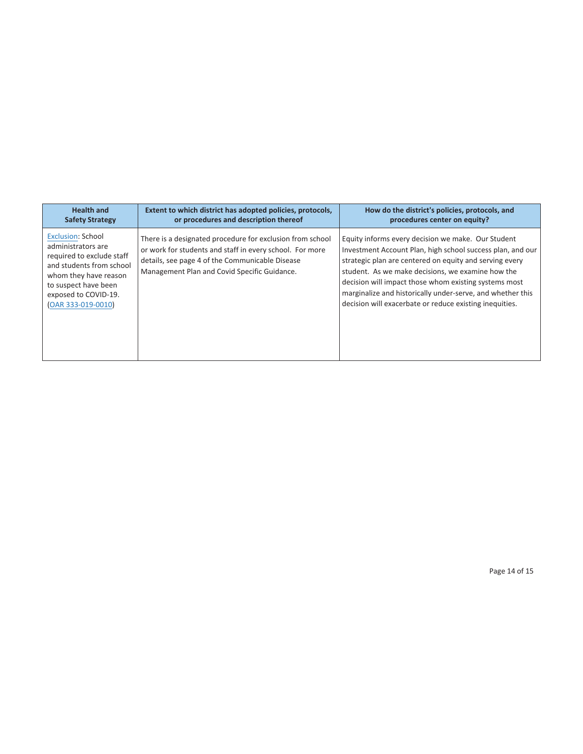| <b>Health and</b>                                                                                                                                                                                      | Extent to which district has adopted policies, protocols,                                                                                                                                                                | How do the district's policies, protocols, and                                                                                                                                                                                                                                                                                                                                                                     |
|--------------------------------------------------------------------------------------------------------------------------------------------------------------------------------------------------------|--------------------------------------------------------------------------------------------------------------------------------------------------------------------------------------------------------------------------|--------------------------------------------------------------------------------------------------------------------------------------------------------------------------------------------------------------------------------------------------------------------------------------------------------------------------------------------------------------------------------------------------------------------|
| <b>Safety Strategy</b>                                                                                                                                                                                 | or procedures and description thereof                                                                                                                                                                                    | procedures center on equity?                                                                                                                                                                                                                                                                                                                                                                                       |
| <b>Exclusion: School</b><br>administrators are<br>required to exclude staff<br>and students from school<br>whom they have reason<br>to suspect have been<br>exposed to COVID-19.<br>(OAR 333-019-0010) | There is a designated procedure for exclusion from school<br>or work for students and staff in every school. For more<br>details, see page 4 of the Communicable Disease<br>Management Plan and Covid Specific Guidance. | Equity informs every decision we make. Our Student<br>Investment Account Plan, high school success plan, and our<br>strategic plan are centered on equity and serving every<br>student. As we make decisions, we examine how the<br>decision will impact those whom existing systems most<br>marginalize and historically under-serve, and whether this<br>decision will exacerbate or reduce existing inequities. |